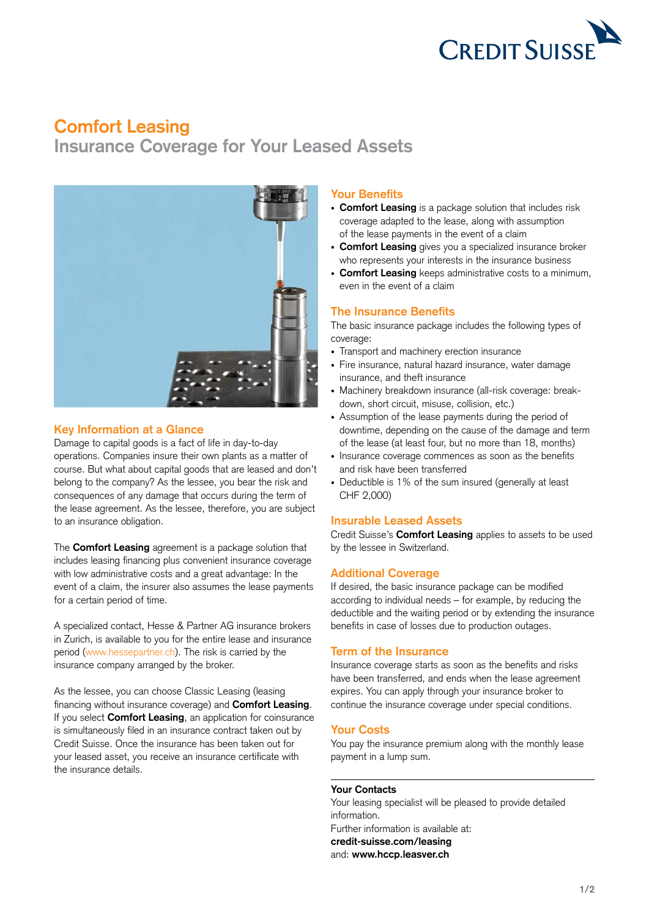

# **Comfort Leasing**

**Insurance Coverage for Your Leased Assets**



## **Key Information at a Glance**

Damage to capital goods is a fact of life in day-to-day operations. Companies insure their own plants as a matter of course. But what about capital goods that are leased and don't belong to the company? As the lessee, you bear the risk and consequences of any damage that occurs during the term of the lease agreement. As the lessee, therefore, you are subject to an insurance obligation.

The **Comfort Leasing** agreement is a package solution that includes leasing financing plus convenient insurance coverage with low administrative costs and a great advantage: In the event of a claim, the insurer also assumes the lease payments for a certain period of time.

A specialized contact, Hesse & Partner AG insurance brokers in Zurich, is available to you for the entire lease and insurance period ([www.hessepartner.ch\)](http://www.hessepartner.ch/en/). The risk is carried by the insurance company arranged by the broker.

As the lessee, you can choose Classic Leasing (leasing financing without insurance coverage) and **Comfort Leasing**. If you select **Comfort Leasing**, an application for coinsurance is simultaneously filed in an insurance contract taken out by Credit Suisse. Once the insurance has been taken out for your leased asset, you receive an insurance certificate with the insurance details.

#### **Your Benefits**

- **Comfort Leasing** is a package solution that includes risk coverage adapted to the lease, along with assumption of the lease payments in the event of a claim
- **Comfort Leasing** gives you a specialized insurance broker who represents your interests in the insurance business
- **Comfort Leasing** keeps administrative costs to a minimum, even in the event of a claim

## **The Insurance Benefits**

The basic insurance package includes the following types of coverage:

- Transport and machinery erection insurance
- Fire insurance, natural hazard insurance, water damage insurance, and theft insurance
- Machinery breakdown insurance (all-risk coverage: breakdown, short circuit, misuse, collision, etc.)
- Assumption of the lease payments during the period of downtime, depending on the cause of the damage and term of the lease (at least four, but no more than 18, months)
- Insurance coverage commences as soon as the benefits and risk have been transferred
- Deductible is 1% of the sum insured (generally at least CHF 2,000)

## **Insurable Leased Assets**

Credit Suisse's **Comfort Leasing** applies to assets to be used by the lessee in Switzerland.

## **Additional Coverage**

If desired, the basic insurance package can be modified according to individual needs – for example, by reducing the deductible and the waiting period or by extending the insurance benefits in case of losses due to production outages.

#### **Term of the Insurance**

Insurance coverage starts as soon as the benefits and risks have been transferred, and ends when the lease agreement expires. You can apply through your insurance broker to continue the insurance coverage under special conditions.

## **Your Costs**

You pay the insurance premium along with the monthly lease payment in a lump sum.

#### **Your Contacts**

Your leasing specialist will be pleased to provide detailed information. Further information is available at: **[credit-suisse.com/leasing](https://www.credit-suisse.com/ch/en/unternehmen/kmugrossunternehmen/finanzierung/leasing.html)** and: **[www.hccp.leasver.ch](http://www.hccp.leasver.ch/de/)**